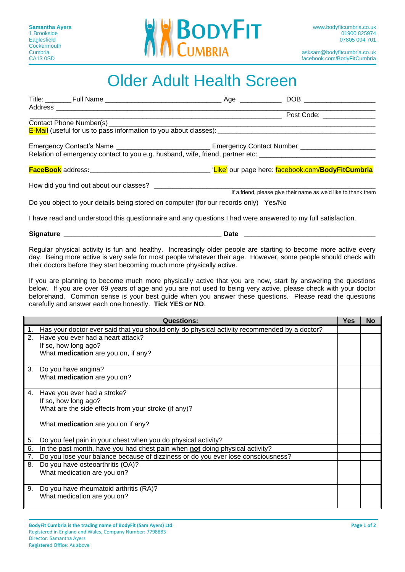

# Older Adult Health Screen

|  |                                                                                                                                                                                                                       | Post Code: <u>_____________</u>                                |
|--|-----------------------------------------------------------------------------------------------------------------------------------------------------------------------------------------------------------------------|----------------------------------------------------------------|
|  |                                                                                                                                                                                                                       |                                                                |
|  |                                                                                                                                                                                                                       |                                                                |
|  | Emergency Contact's Name _________________________________Emergency Contact Number _________________<br>Relation of emergency contact to you e.g. husband, wife, friend, partner etc: _______________________________ |                                                                |
|  |                                                                                                                                                                                                                       |                                                                |
|  |                                                                                                                                                                                                                       | If a friend, please give their name as we'd like to thank them |
|  | Do you object to your details being stored on computer (for our records only) Yes/No                                                                                                                                  |                                                                |
|  | I have read and understood this questionnaire and any questions I had were answered to my full satisfaction.                                                                                                          |                                                                |

### **Signature \_\_\_\_\_\_\_\_\_\_\_\_\_\_\_\_\_\_\_\_\_\_\_\_\_\_\_\_\_\_\_\_\_\_\_\_\_\_\_\_\_\_ Date \_\_\_\_\_\_\_\_\_\_\_\_\_\_\_\_\_\_\_\_\_\_\_\_\_\_\_\_\_\_\_\_\_\_\_**

Regular physical activity is fun and healthy. Increasingly older people are starting to become more active every day. Being more active is very safe for most people whatever their age. However, some people should check with their doctors before they start becoming much more physically active.

If you are planning to become much more physically active that you are now, start by answering the questions below. If you are over 69 years of age and you are not used to being very active, please check with your doctor beforehand. Common sense is your best guide when you answer these questions. Please read the questions carefully and answer each one honestly. **Tick YES or NO**.

|    | <b>Questions:</b>                                                                            | <b>Yes</b> | <b>No</b> |
|----|----------------------------------------------------------------------------------------------|------------|-----------|
| 1. | Has your doctor ever said that you should only do physical activity recommended by a doctor? |            |           |
| 2. | Have you ever had a heart attack?                                                            |            |           |
|    | If so, how long ago?                                                                         |            |           |
|    | What medication are you on, if any?                                                          |            |           |
|    |                                                                                              |            |           |
| 3. | Do you have angina?                                                                          |            |           |
|    | What medication are you on?                                                                  |            |           |
| 4. | Have you ever had a stroke?                                                                  |            |           |
|    | If so, how long ago?                                                                         |            |           |
|    | What are the side effects from your stroke (if any)?                                         |            |           |
|    |                                                                                              |            |           |
|    | What medication are you on if any?                                                           |            |           |
| 5. | Do you feel pain in your chest when you do physical activity?                                |            |           |
| 6. | In the past month, have you had chest pain when not doing physical activity?                 |            |           |
| 7. | Do you lose your balance because of dizziness or do you ever lose consciousness?             |            |           |
| 8. | Do you have osteoarthritis (OA)?                                                             |            |           |
|    | What medication are you on?                                                                  |            |           |
|    |                                                                                              |            |           |
| 9. | Do you have rheumatoid arthritis (RA)?                                                       |            |           |
|    | What medication are you on?                                                                  |            |           |
|    |                                                                                              |            |           |